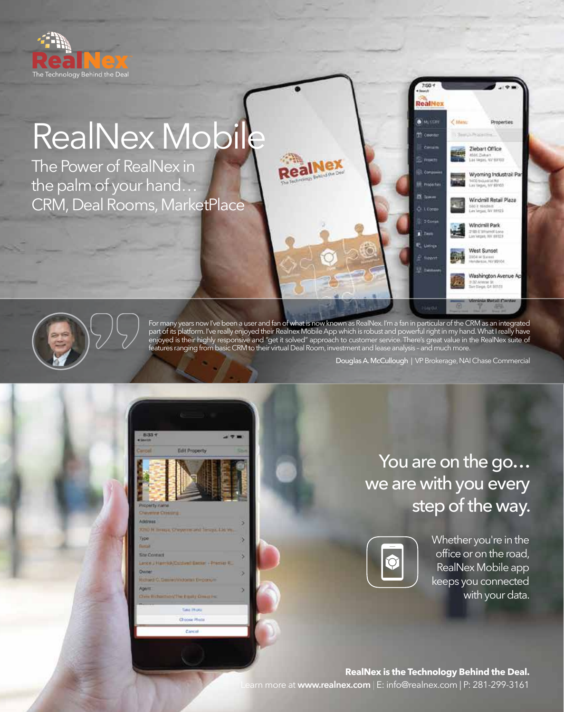

## RealNex Mobile

The Power of RealNex in the palm of your hand… CRM, Deal Rooms, MarketPlace



For many years now I've been a user and fan of what is now known as RealNex. I'm a fan in particular of the CRM as an integrated part of its platform. I've really enjoyed their Realnex Mobile App which is robust and powerful right in my hand. What I really have enjoyed is their highly responsive and "get it solved" approach to customer service. There's great value in the RealNex suite of features ranging from basic CRM to their virtual Deal Room, investment and lease analysis – and much more.

Douglas A. McCullough | VP Brokerage, NAI Chase Commercial

RealNex **A** MOTOR

**Proportion** 

Litting 3 Corps

 $\overrightarrow{B}$ 

**EL DALL** 

L'Alere

Properties

Ziebart Office 4536, Ziebart<br>Las Vegas, NV 83103

Wyoming Industrail Par 00 todunalist But<br>V Vegus, 16V Bl/M20

Windmill Retail Plaza Nindroft<br>Sau fay 19723

Windmill Park 2185 E Vitamot Love<br>Las Vitas III AV 69121

West Sunset

1954 ar Sales)<br>Heldeson, Ny 89101

Washington Avenue A

5

| 8:33 T<br><b>COMPANY</b>                   |                                              |   |
|--------------------------------------------|----------------------------------------------|---|
| Carcoli                                    | <b>Edit Property</b>                         |   |
| Property name<br><b>Cheverine Cristing</b> |                                              |   |
| Address                                    |                                              |   |
|                                            | X200 M Terraya, Cheyen mund Tenaya, List Vo. |   |
| Type                                       |                                              |   |
| <b>Fast of</b>                             |                                              |   |
| <b>East Contact</b>                        |                                              | ь |
|                                            | Lance J Harrisk/Coldwell Banket + Premier R_ |   |
| Owner                                      |                                              | o |
|                                            | Hichard C. Desire (Victoria) Emportuni       |   |
| ADOOT                                      |                                              | о |
|                                            | Chris II charmon/The Equal pointed Inc.      |   |
|                                            | <b>Time Photo</b>                            |   |
|                                            |                                              |   |
|                                            | Choose Photo:                                |   |
|                                            | Cary of 1                                    |   |
|                                            |                                              |   |

You are on the go... we are with you every step of the way.



Whether you're in the office or on the road, RealNex Mobile app keeps you connected with your data.

**RealNex is the Technology Behind the Deal.** Learn more at **www.realnex.com** | E: info@realnex.com | P: 281-299-3161